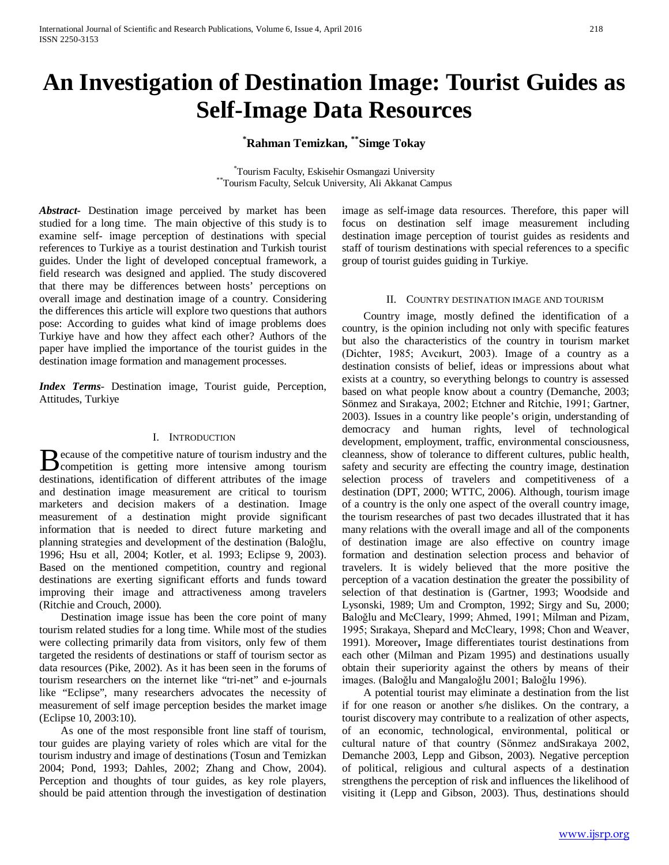# **An Investigation of Destination Image: Tourist Guides as Self-Image Data Resources**

## **\* Rahman Temizkan, \*\*Simge Tokay**

\*Tourism Faculty, Eskisehir Osmangazi University \*\*Tourism Faculty, Selcuk University, Ali Akkanat Campus

*Abstract***-** Destination image perceived by market has been studied for a long time. The main objective of this study is to examine self- image perception of destinations with special references to Turkiye as a tourist destination and Turkish tourist guides. Under the light of developed conceptual framework, a field research was designed and applied. The study discovered that there may be differences between hosts' perceptions on overall image and destination image of a country. Considering the differences this article will explore two questions that authors pose: According to guides what kind of image problems does Turkiye have and how they affect each other? Authors of the paper have implied the importance of the tourist guides in the destination image formation and management processes.

*Index Terms*- Destination image, Tourist guide, Perception, Attitudes, Turkiye

#### I. INTRODUCTION

ecause of the competitive nature of tourism industry and the  $\mathbf{B}$  ecause of the competitive nature of tourism industry and the competition is getting more intensive among tourism destinations, identification of different attributes of the image and destination image measurement are critical to tourism marketers and decision makers of a destination. Image measurement of a destination might provide significant information that is needed to direct future marketing and planning strategies and development of the destination (Baloğlu, 1996; Hsu et all, 2004; Kotler, et al. 1993; Eclipse 9, 2003). Based on the mentioned competition, country and regional destinations are exerting significant efforts and funds toward improving their image and attractiveness among travelers (Ritchie and Crouch, 2000).

 Destination image issue has been the core point of many tourism related studies for a long time. While most of the studies were collecting primarily data from visitors, only few of them targeted the residents of destinations or staff of tourism sector as data resources (Pike, 2002). As it has been seen in the forums of tourism researchers on the internet like "tri-net" and e-journals like "Eclipse", many researchers advocates the necessity of measurement of self image perception besides the market image (Eclipse 10, 2003:10).

 As one of the most responsible front line staff of tourism, tour guides are playing variety of roles which are vital for the tourism industry and image of destinations (Tosun and Temizkan 2004; Pond, 1993; Dahles, 2002; Zhang and Chow, 2004). Perception and thoughts of tour guides, as key role players, should be paid attention through the investigation of destination image as self-image data resources. Therefore, this paper will focus on destination self image measurement including destination image perception of tourist guides as residents and staff of tourism destinations with special references to a specific group of tourist guides guiding in Turkiye.

#### II. COUNTRY DESTINATION IMAGE AND TOURISM

 Country image, mostly defined the identification of a country, is the opinion including not only with specific features but also the characteristics of the country in tourism market (Dichter, 1985; Avcıkurt, 2003). Image of a country as a destination consists of belief, ideas or impressions about what exists at a country, so everything belongs to country is assessed based on what people know about a country (Demanche, 2003; Sönmez and Sırakaya, 2002; Etchner and Ritchie, 1991; Gartner, 2003). Issues in a country like people's origin, understanding of democracy and human rights, level of technological development, employment, traffic, environmental consciousness, cleanness, show of tolerance to different cultures, public health, safety and security are effecting the country image, destination selection process of travelers and competitiveness of a destination (DPT, 2000; WTTC, 2006). Although, tourism image of a country is the only one aspect of the overall country image, the tourism researches of past two decades illustrated that it has many relations with the overall image and all of the components of destination image are also effective on country image formation and destination selection process and behavior of travelers. It is widely believed that the more positive the perception of a vacation destination the greater the possibility of selection of that destination is (Gartner, 1993; Woodside and Lysonski, 1989; Um and Crompton, 1992; Sirgy and Su, 2000; Baloğlu and McCleary, 1999; Ahmed, 1991; Milman and Pizam, 1995; Sırakaya, Shepard and McCleary, 1998; Chon and Weaver, 1991). Moreover**,** Image differentiates tourist destinations from each other (Milman and Pizam 1995) and destinations usually obtain their superiority against the others by means of their images. (Baloğlu and Mangaloğlu 2001; Baloğlu 1996).

 A potential tourist may eliminate a destination from the list if for one reason or another s/he dislikes. On the contrary, a tourist discovery may contribute to a realization of other aspects, of an economic, technological, environmental, political or cultural nature of that country (Sönmez andSırakaya 2002, Demanche 2003, Lepp and Gibson, 2003). Negative perception of political, religious and cultural aspects of a destination strengthens the perception of risk and influences the likelihood of visiting it (Lepp and Gibson, 2003). Thus, destinations should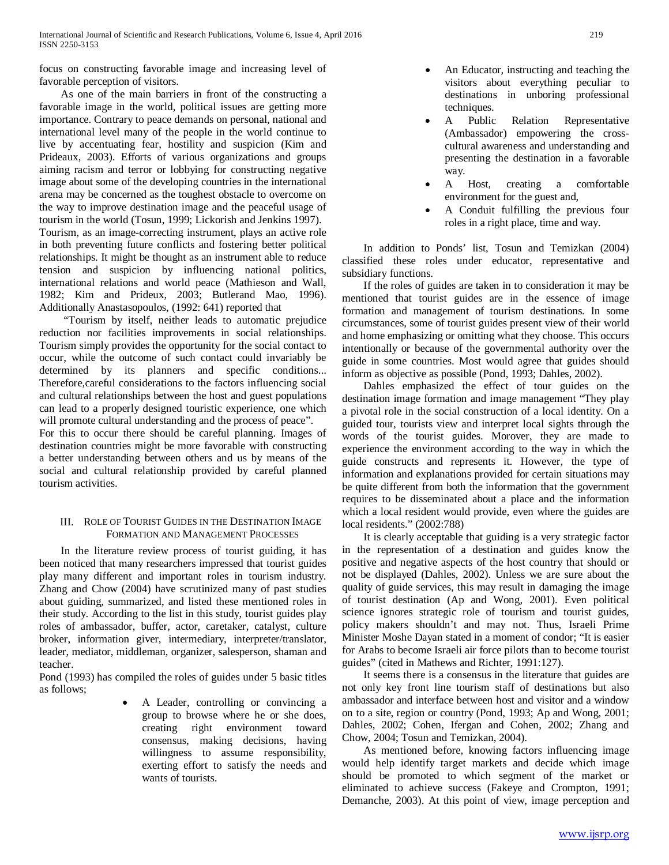focus on constructing favorable image and increasing level of favorable perception of visitors.

 As one of the main barriers in front of the constructing a favorable image in the world, political issues are getting more importance. Contrary to peace demands on personal, national and international level many of the people in the world continue to live by accentuating fear, hostility and suspicion (Kim and Prideaux, 2003). Efforts of various organizations and groups aiming racism and terror or lobbying for constructing negative image about some of the developing countries in the international arena may be concerned as the toughest obstacle to overcome on the way to improve destination image and the peaceful usage of tourism in the world (Tosun, 1999; Lickorish and Jenkins 1997). Tourism, as an image-correcting instrument, plays an active role in both preventing future conflicts and fostering better political relationships. It might be thought as an instrument able to reduce tension and suspicion by influencing national politics, international relations and world peace (Mathieson and Wall, 1982; Kim and Prideux, 2003; Butlerand Mao, 1996). Additionally Anastasopoulos, (1992: 641) reported that

 "Tourism by itself, neither leads to automatic prejudice reduction nor facilities improvements in social relationships. Tourism simply provides the opportunity for the social contact to occur, while the outcome of such contact could invariably be determined by its planners and specific conditions... Therefore,careful considerations to the factors influencing social and cultural relationships between the host and guest populations can lead to a properly designed touristic experience, one which will promote cultural understanding and the process of peace".

For this to occur there should be careful planning. Images of destination countries might be more favorable with constructing a better understanding between others and us by means of the social and cultural relationship provided by careful planned tourism activities.

## III. ROLE OF TOURIST GUIDES IN THE DESTINATION IMAGE FORMATION AND MANAGEMENT PROCESSES

 In the literature review process of tourist guiding, it has been noticed that many researchers impressed that tourist guides play many different and important roles in tourism industry. Zhang and Chow (2004) have scrutinized many of past studies about guiding, summarized, and listed these mentioned roles in their study. According to the list in this study, tourist guides play roles of ambassador, buffer, actor, caretaker, catalyst, culture broker, information giver, intermediary, interpreter/translator, leader, mediator, middleman, organizer, salesperson, shaman and teacher.

Pond (1993) has compiled the roles of guides under 5 basic titles as follows;

• A Leader, controlling or convincing a group to browse where he or she does, creating right environment toward consensus, making decisions, having willingness to assume responsibility, exerting effort to satisfy the needs and wants of tourists.

- An Educator, instructing and teaching the visitors about everything peculiar to destinations in unboring professional techniques.
- A Public Relation Representative (Ambassador) empowering the crosscultural awareness and understanding and presenting the destination in a favorable way.
- A Host, creating a comfortable environment for the guest and,
- A Conduit fulfilling the previous four roles in a right place, time and way.

 In addition to Ponds' list, Tosun and Temizkan (2004) classified these roles under educator, representative and subsidiary functions.

 If the roles of guides are taken in to consideration it may be mentioned that tourist guides are in the essence of image formation and management of tourism destinations. In some circumstances, some of tourist guides present view of their world and home emphasizing or omitting what they choose. This occurs intentionally or because of the governmental authority over the guide in some countries. Most would agree that guides should inform as objective as possible (Pond, 1993; Dahles, 2002).

 Dahles emphasized the effect of tour guides on the destination image formation and image management "They play a pivotal role in the social construction of a local identity. On a guided tour, tourists view and interpret local sights through the words of the tourist guides. Morover, they are made to experience the environment according to the way in which the guide constructs and represents it. However, the type of information and explanations provided for certain situations may be quite different from both the information that the government requires to be disseminated about a place and the information which a local resident would provide, even where the guides are local residents." (2002:788)

 It is clearly acceptable that guiding is a very strategic factor in the representation of a destination and guides know the positive and negative aspects of the host country that should or not be displayed (Dahles, 2002). Unless we are sure about the quality of guide services, this may result in damaging the image of tourist destination (Ap and Wong, 2001). Even political science ignores strategic role of tourism and tourist guides, policy makers shouldn't and may not. Thus, Israeli Prime Minister Moshe Dayan stated in a moment of condor; "It is easier for Arabs to become Israeli air force pilots than to become tourist guides" (cited in Mathews and Richter, 1991:127).

 It seems there is a consensus in the literature that guides are not only key front line tourism staff of destinations but also ambassador and interface between host and visitor and a window on to a site, region or country (Pond, 1993; Ap and Wong, 2001; Dahles, 2002; Cohen, Ifergan and Cohen, 2002; Zhang and Chow, 2004; Tosun and Temizkan, 2004).

 As mentioned before, knowing factors influencing image would help identify target markets and decide which image should be promoted to which segment of the market or eliminated to achieve success (Fakeye and Crompton, 1991; Demanche, 2003). At this point of view, image perception and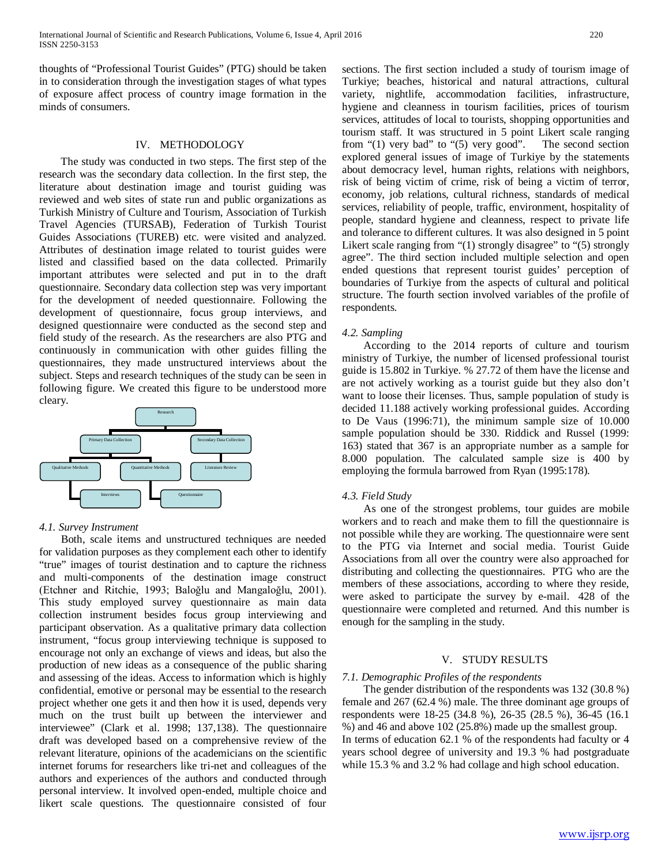thoughts of "Professional Tourist Guides" (PTG) should be taken in to consideration through the investigation stages of what types of exposure affect process of country image formation in the minds of consumers.

## IV. METHODOLOGY

 The study was conducted in two steps. The first step of the research was the secondary data collection. In the first step, the literature about destination image and tourist guiding was reviewed and web sites of state run and public organizations as Turkish Ministry of Culture and Tourism, Association of Turkish Travel Agencies (TURSAB), Federation of Turkish Tourist Guides Associations (TUREB) etc. were visited and analyzed. Attributes of destination image related to tourist guides were listed and classified based on the data collected. Primarily important attributes were selected and put in to the draft questionnaire. Secondary data collection step was very important for the development of needed questionnaire. Following the development of questionnaire, focus group interviews, and designed questionnaire were conducted as the second step and field study of the research. As the researchers are also PTG and continuously in communication with other guides filling the questionnaires, they made unstructured interviews about the subject. Steps and research techniques of the study can be seen in following figure. We created this figure to be understood more cleary.



## *4.1. Survey Instrument*

 Both, scale items and unstructured techniques are needed for validation purposes as they complement each other to identify "true" images of tourist destination and to capture the richness and multi-components of the destination image construct (Etchner and Ritchie, 1993; Baloğlu and Mangaloğlu, 2001). This study employed survey questionnaire as main data collection instrument besides focus group interviewing and participant observation. As a qualitative primary data collection instrument, "focus group interviewing technique is supposed to encourage not only an exchange of views and ideas, but also the production of new ideas as a consequence of the public sharing and assessing of the ideas. Access to information which is highly confidential, emotive or personal may be essential to the research project whether one gets it and then how it is used, depends very much on the trust built up between the interviewer and interviewee" (Clark et al. 1998; 137,138). The questionnaire draft was developed based on a comprehensive review of the relevant literature, opinions of the academicians on the scientific internet forums for researchers like tri-net and colleagues of the authors and experiences of the authors and conducted through personal interview. It involved open-ended, multiple choice and likert scale questions. The questionnaire consisted of four sections. The first section included a study of tourism image of Turkiye; beaches, historical and natural attractions, cultural variety, nightlife, accommodation facilities, infrastructure, hygiene and cleanness in tourism facilities, prices of tourism services, attitudes of local to tourists, shopping opportunities and tourism staff. It was structured in 5 point Likert scale ranging from "(1) very bad" to "(5) very good". The second section from " $(1)$  very bad" to " $(5)$  very good". explored general issues of image of Turkiye by the statements about democracy level, human rights, relations with neighbors, risk of being victim of crime, risk of being a victim of terror, economy, job relations, cultural richness, standards of medical services, reliability of people, traffic, environment, hospitality of people, standard hygiene and cleanness, respect to private life and tolerance to different cultures. It was also designed in 5 point Likert scale ranging from "(1) strongly disagree" to "(5) strongly agree". The third section included multiple selection and open ended questions that represent tourist guides' perception of boundaries of Turkiye from the aspects of cultural and political structure. The fourth section involved variables of the profile of respondents.

#### *4.2. Sampling*

 According to the 2014 reports of culture and tourism ministry of Turkiye, the number of licensed professional tourist guide is 15.802 in Turkiye. % 27.72 of them have the license and are not actively working as a tourist guide but they also don't want to loose their licenses. Thus, sample population of study is decided 11.188 actively working professional guides. According to De Vaus (1996:71), the minimum sample size of 10.000 sample population should be 330. Riddick and Russel (1999: 163) stated that 367 is an appropriate number as a sample for 8.000 population. The calculated sample size is 400 by employing the formula barrowed from Ryan (1995:178).

#### *4.3. Field Study*

 As one of the strongest problems, tour guides are mobile workers and to reach and make them to fill the questionnaire is not possible while they are working. The questionnaire were sent to the PTG via Internet and social media. Tourist Guide Associations from all over the country were also approached for distributing and collecting the questionnaires. PTG who are the members of these associations, according to where they reside, were asked to participate the survey by e-mail. 428 of the questionnaire were completed and returned. And this number is enough for the sampling in the study.

#### V. STUDY RESULTS

#### *7.1. Demographic Profiles of the respondents*

 The gender distribution of the respondents was 132 (30.8 %) female and 267 (62.4 %) male. The three dominant age groups of respondents were 18-25 (34.8 %), 26-35 (28.5 %), 36-45 (16.1 %) and 46 and above 102 (25.8%) made up the smallest group. In terms of education 62.1 % of the respondents had faculty or 4 years school degree of university and 19.3 % had postgraduate while 15.3 % and 3.2 % had collage and high school education.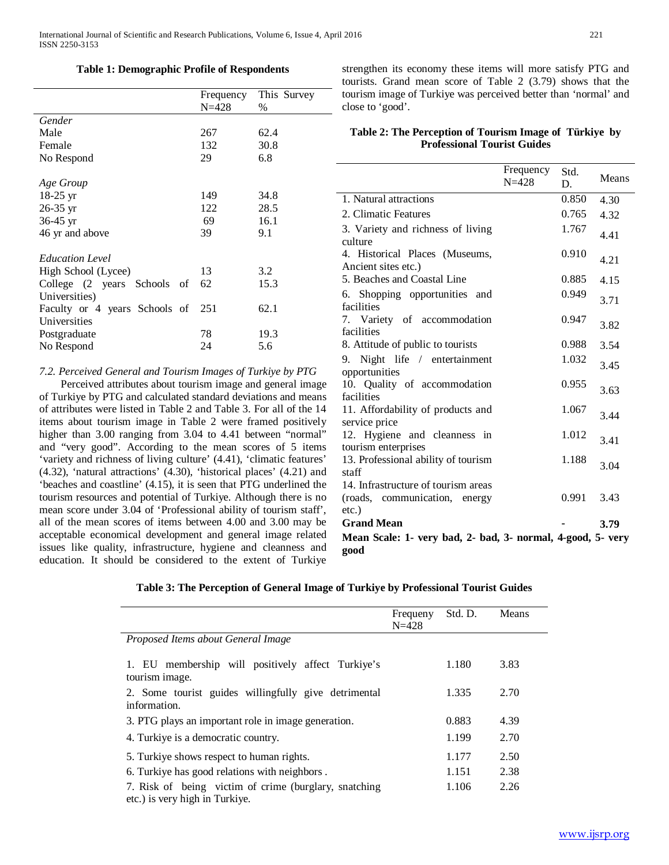#### **Table 1: Demographic Profile of Respondents**

|                                | Frequency | This Survey |
|--------------------------------|-----------|-------------|
|                                | $N = 428$ | $\%$        |
| Gender                         |           |             |
| Male                           | 267       | 62.4        |
| Female                         | 132       | 30.8        |
| No Respond                     | 29        | 6.8         |
|                                |           |             |
| Age Group                      |           |             |
| $18-25 \text{ yr}$             | 149       | 34.8        |
| $26-35$ yr                     | 122       | 28.5        |
| $36-45$ yr                     | 69        | 16.1        |
| 46 yr and above                | 39        | 9.1         |
|                                |           |             |
| <b>Education Level</b>         |           |             |
| High School (Lycee)            | 13        | 3.2         |
| College (2 years Schools<br>οf | 62        | 15.3        |
| Universities)                  |           |             |
| Faculty or 4 years Schools of  | 251       | 62.1        |
| Universities                   |           |             |
| Postgraduate                   | 78        | 19.3        |
| No Respond                     | 24        | 5.6         |
|                                |           |             |

#### *7.2. Perceived General and Tourism Images of Turkiye by PTG*

 Perceived attributes about tourism image and general image of Turkiye by PTG and calculated standard deviations and means of attributes were listed in Table 2 and Table 3. For all of the 14 items about tourism image in Table 2 were framed positively higher than 3.00 ranging from 3.04 to 4.41 between "normal" and "very good". According to the mean scores of 5 items 'variety and richness of living culture' (4.41), 'climatic features' (4.32), 'natural attractions' (4.30), 'historical places' (4.21) and 'beaches and coastline' (4.15), it is seen that PTG underlined the tourism resources and potential of Turkiye. Although there is no mean score under 3.04 of 'Professional ability of tourism staff', all of the mean scores of items between 4.00 and 3.00 may be acceptable economical development and general image related issues like quality, infrastructure, hygiene and cleanness and education. It should be considered to the extent of Turkiye strengthen its economy these items will more satisfy PTG and tourists. Grand mean score of Table 2 (3.79) shows that the tourism image of Turkiye was perceived better than 'normal' and close to 'good'.

## **Table 2: The Perception of Tourism Image of Türkiye by Professional Tourist Guides**

|                                                             | Frequency<br>$N = 428$ | Std.<br>D. | Means |
|-------------------------------------------------------------|------------------------|------------|-------|
| 1. Natural attractions                                      |                        | 0.850      | 4.30  |
| 2. Climatic Features                                        |                        | 0.765      | 4.32  |
| 3. Variety and richness of living<br>culture                |                        | 1.767      | 4.41  |
| 4. Historical Places (Museums,                              |                        | 0.910      |       |
| Ancient sites etc.)                                         |                        |            | 4.21  |
| 5. Beaches and Coastal Line                                 |                        | 0.885      | 4.15  |
| 6. Shopping opportunities<br>and<br>facilities              |                        | 0.949      | 3.71  |
| 7. Variety of accommodation<br>facilities                   |                        | 0.947      | 3.82  |
| 8. Attitude of public to tourists                           |                        | 0.988      | 3.54  |
| 9. Night life / entertainment                               |                        | 1.032      | 3.45  |
| opportunities                                               |                        |            |       |
| 10. Quality of accommodation<br>facilities                  |                        | 0.955      | 3.63  |
| 11. Affordability of products and                           |                        | 1.067      | 3.44  |
| service price                                               |                        |            |       |
| 12. Hygiene and cleanness in                                |                        | 1.012      | 3.41  |
| tourism enterprises<br>13. Professional ability of tourism  |                        | 1.188      |       |
| staff                                                       |                        |            | 3.04  |
| 14. Infrastructure of tourism areas                         |                        |            |       |
| (roads, communication, energy                               |                        | 0.991      | 3.43  |
| $etc.$ )                                                    |                        |            |       |
| <b>Grand Mean</b>                                           |                        |            | 3.79  |
| Mean Scale: 1- very bad, 2- bad, 3- normal, 4-good, 5- very |                        |            |       |
| good                                                        |                        |            |       |

|  |  | Table 3: The Perception of General Image of Turkiye by Professional Tourist Guides |
|--|--|------------------------------------------------------------------------------------|
|  |  |                                                                                    |

|                                                                                         | Frequeny<br>$N = 428$ | Std. D. | Means |
|-----------------------------------------------------------------------------------------|-----------------------|---------|-------|
| Proposed Items about General Image                                                      |                       |         |       |
| 1. EU membership will positively affect Turkiye's<br>tourism image.                     |                       | 1.180   | 3.83  |
| 2. Some tourist guides willingfully give detrimental<br>information.                    |                       | 1.335   | 2.70  |
| 3. PTG plays an important role in image generation.                                     |                       | 0.883   | 4.39  |
| 4. Turkiye is a democratic country.                                                     |                       | 1.199   | 2.70  |
| 5. Turkiye shows respect to human rights.                                               |                       | 1.177   | 2.50  |
| 6. Turkiye has good relations with neighbors.                                           |                       | 1.151   | 2.38  |
| 7. Risk of being victim of crime (burglary, snatching<br>etc.) is very high in Turkiye. |                       | 1.106   | 2.26  |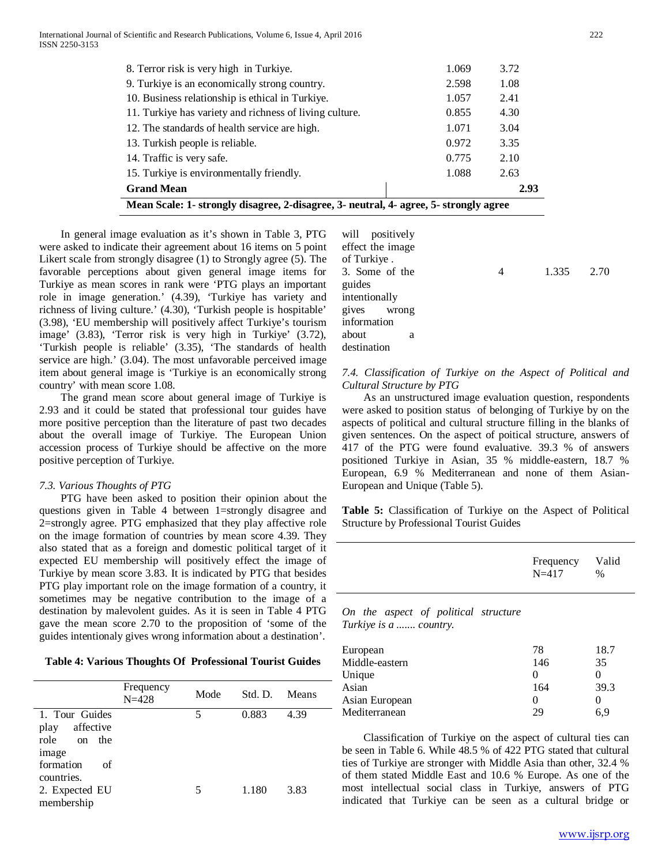| Mean Scale: 1- strongly disagree, 2-disagree, 3- neutral, 4- agree, 5- strongly agree |       |      |  |  |  |
|---------------------------------------------------------------------------------------|-------|------|--|--|--|
| <b>Grand Mean</b>                                                                     |       | 2.93 |  |  |  |
| 15. Turkiye is environmentally friendly.                                              | 1.088 | 2.63 |  |  |  |
| 14. Traffic is very safe.                                                             | 0.775 | 2.10 |  |  |  |
| 13. Turkish people is reliable.                                                       | 0.972 | 3.35 |  |  |  |
| 12. The standards of health service are high.                                         | 1.071 | 3.04 |  |  |  |
| 11. Turkiye has variety and richness of living culture.                               | 0.855 | 4.30 |  |  |  |
| 10. Business relationship is ethical in Turkiye.                                      | 1.057 | 2.41 |  |  |  |
| 9. Turkiye is an economically strong country.                                         | 2.598 | 1.08 |  |  |  |
| 8. Terror risk is very high in Turkiye.                                               | 1.069 | 3.72 |  |  |  |
|                                                                                       |       |      |  |  |  |

 In general image evaluation as it's shown in Table 3, PTG were asked to indicate their agreement about 16 items on 5 point Likert scale from strongly disagree (1) to Strongly agree (5). The favorable perceptions about given general image items for Turkiye as mean scores in rank were 'PTG plays an important role in image generation.' (4.39), 'Turkiye has variety and richness of living culture.' (4.30), 'Turkish people is hospitable' (3.98), 'EU membership will positively affect Turkiye's tourism image' (3.83), 'Terror risk is very high in Turkiye' (3.72), 'Turkish people is reliable' (3.35), 'The standards of health service are high.' (3.04). The most unfavorable perceived image item about general image is 'Turkiye is an economically strong country' with mean score 1.08.

 The grand mean score about general image of Turkiye is 2.93 and it could be stated that professional tour guides have more positive perception than the literature of past two decades about the overall image of Turkiye. The European Union accession process of Turkiye should be affective on the more positive perception of Turkiye.

## *7.3. Various Thoughts of PTG*

 PTG have been asked to position their opinion about the questions given in Table 4 between 1=strongly disagree and 2=strongly agree. PTG emphasized that they play affective role on the image formation of countries by mean score 4.39. They also stated that as a foreign and domestic political target of it expected EU membership will positively effect the image of Turkiye by mean score 3.83. It is indicated by PTG that besides PTG play important role on the image formation of a country, it sometimes may be negative contribution to the image of a destination by malevolent guides. As it is seen in Table 4 PTG gave the mean score 2.70 to the proposition of 'some of the guides intentionaly gives wrong information about a destination'.

**Table 4: Various Thoughts Of Professional Tourist Guides**

|                   | Frequency<br>$N = 428$ | Mode | Std. D. | Means |
|-------------------|------------------------|------|---------|-------|
| 1. Tour Guides    |                        | 5    | 0.883   | 4.39  |
| affective<br>play |                        |      |         |       |
| role<br>on the    |                        |      |         |       |
| image             |                        |      |         |       |
| formation<br>of   |                        |      |         |       |
| countries.        |                        |      |         |       |
| 2. Expected EU    |                        | 5    | 1.180   | 3.83  |
| membership        |                        |      |         |       |

| will positively  |   |            |  |
|------------------|---|------------|--|
| effect the image |   |            |  |
| of Turkiye.      |   |            |  |
| 3. Some of the   | 4 | 1.335 2.70 |  |
| guides           |   |            |  |
| intentionally    |   |            |  |
| gives wrong      |   |            |  |
| information      |   |            |  |
| about<br>a       |   |            |  |
| destination      |   |            |  |
|                  |   |            |  |

*7.4. Classification of Turkiye on the Aspect of Political and Cultural Structure by PTG*

 As an unstructured image evaluation question, respondents were asked to position status of belonging of Turkiye by on the aspects of political and cultural structure filling in the blanks of given sentences. On the aspect of poitical structure, answers of 417 of the PTG were found evaluative. 39.3 % of answers positioned Turkiye in Asian, 35 % middle-eastern, 18.7 % European, 6.9 % Mediterranean and none of them Asian-European and Unique (Table 5).

**Table 5:** Classification of Turkiye on the Aspect of Political Structure by Professional Tourist Guides

| $N = 417$ | Valid<br>$\%$        |
|-----------|----------------------|
|           |                      |
| 78<br>146 | 18.7<br>35<br>$\sim$ |
|           | Frequency<br>$\sim$  |

| 146 | 35   |
|-----|------|
|     |      |
| 164 | 39.3 |
|     |      |
| 29  | 6.9  |
|     |      |

 Classification of Turkiye on the aspect of cultural ties can be seen in Table 6. While 48.5 % of 422 PTG stated that cultural ties of Turkiye are stronger with Middle Asia than other, 32.4 % of them stated Middle East and 10.6 % Europe. As one of the most intellectual social class in Turkiye, answers of PTG indicated that Turkiye can be seen as a cultural bridge or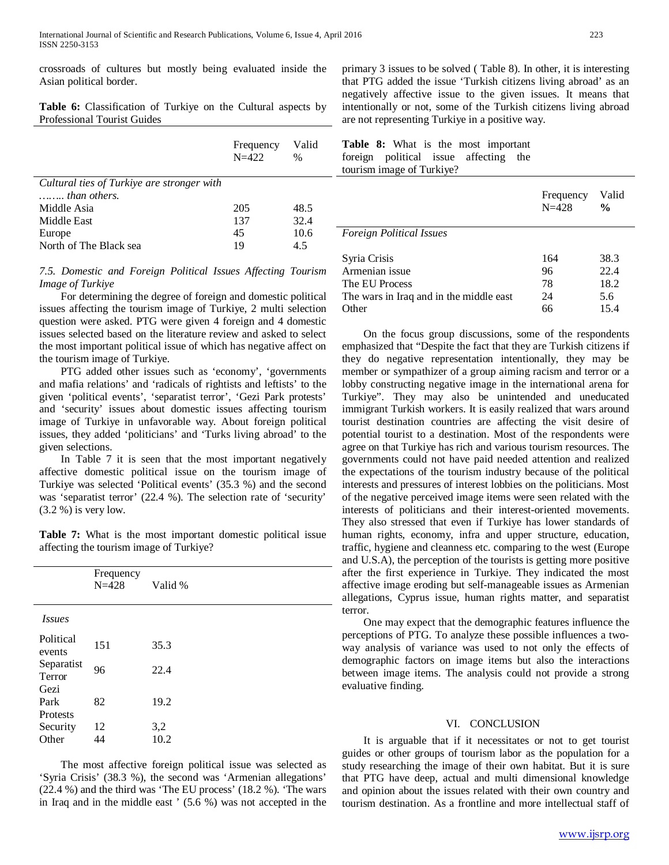crossroads of cultures but mostly being evaluated inside the Asian political border.

**Table 6:** Classification of Turkiye on the Cultural aspects by Professional Tourist Guides

|                                                                     | Frequency<br>$N = 422$ | Valid<br>$\%$ | Ta<br>for<br>tou |
|---------------------------------------------------------------------|------------------------|---------------|------------------|
| Cultural ties of Turkiye are stronger with<br>$\ldots$ than others. |                        |               |                  |
| Middle Asia                                                         | 205                    | 48.5          |                  |
| Middle East                                                         | 137                    | 32.4          |                  |
| Europe                                                              | 45                     | 10.6          | $F_{O}$          |
| North of The Black sea                                              | 19                     | 4.5           |                  |

*7.5. Domestic and Foreign Political Issues Affecting Tourism Image of Turkiye*

 For determining the degree of foreign and domestic political issues affecting the tourism image of Turkiye, 2 multi selection question were asked. PTG were given 4 foreign and 4 domestic issues selected based on the literature review and asked to select the most important political issue of which has negative affect on the tourism image of Turkiye.

 PTG added other issues such as 'economy', 'governments and mafia relations' and 'radicals of rightists and leftists' to the given 'political events', 'separatist terror', 'Gezi Park protests' and 'security' issues about domestic issues affecting tourism image of Turkiye in unfavorable way. About foreign political issues, they added 'politicians' and 'Turks living abroad' to the given selections.

 In Table 7 it is seen that the most important negatively affective domestic political issue on the tourism image of Turkiye was selected 'Political events' (35.3 %) and the second was 'separatist terror' (22.4 %). The selection rate of 'security' (3.2 %) is very low.

**Table 7:** What is the most important domestic political issue affecting the tourism image of Turkiye?

| Frequency<br>$N = 428$ | Valid %     |
|------------------------|-------------|
|                        |             |
| 151                    | 35.3        |
| 96                     | 22.4        |
|                        | 19.2        |
|                        |             |
| 12<br>44               | 3,2<br>10.2 |
|                        | 82          |

 The most affective foreign political issue was selected as 'Syria Crisis' (38.3 %), the second was 'Armenian allegations' (22.4 %) and the third was 'The EU process' (18.2 %). 'The wars in Iraq and in the middle east ' (5.6 %) was not accepted in the primary 3 issues to be solved ( Table 8). In other, it is interesting that PTG added the issue 'Turkish citizens living abroad' as an negatively affective issue to the given issues. It means that intentionally or not, some of the Turkish citizens living abroad are not representing Turkiye in a positive way.

| Table 8: What is the most important   |  |  |  |  |
|---------------------------------------|--|--|--|--|
| foreign political issue affecting the |  |  |  |  |
| tourism image of Turkiye?             |  |  |  |  |

|                                         | Frequency<br>$N = 428$ | Valid<br>$\frac{0}{0}$ |
|-----------------------------------------|------------------------|------------------------|
| <b>Foreign Political Issues</b>         |                        |                        |
| Syria Crisis                            | 164                    | 38.3                   |
| Armenian issue                          | 96                     | 22.4                   |
| The EU Process                          | 78                     | 18.2                   |
| The wars in Iraq and in the middle east | 24                     | 5.6                    |
| Other                                   | 66                     | 15.4                   |

 On the focus group discussions, some of the respondents emphasized that "Despite the fact that they are Turkish citizens if they do negative representation intentionally, they may be member or sympathizer of a group aiming racism and terror or a lobby constructing negative image in the international arena for Turkiye". They may also be unintended and uneducated immigrant Turkish workers. It is easily realized that wars around tourist destination countries are affecting the visit desire of potential tourist to a destination. Most of the respondents were agree on that Turkiye has rich and various tourism resources. The governments could not have paid needed attention and realized the expectations of the tourism industry because of the political interests and pressures of interest lobbies on the politicians. Most of the negative perceived image items were seen related with the interests of politicians and their interest-oriented movements. They also stressed that even if Turkiye has lower standards of human rights, economy, infra and upper structure, education, traffic, hygiene and cleanness etc. comparing to the west (Europe and U.S.A), the perception of the tourists is getting more positive after the first experience in Turkiye. They indicated the most affective image eroding but self-manageable issues as Armenian allegations, Cyprus issue, human rights matter, and separatist terror.

 One may expect that the demographic features influence the perceptions of PTG. To analyze these possible influences a twoway analysis of variance was used to not only the effects of demographic factors on image items but also the interactions between image items. The analysis could not provide a strong evaluative finding.

#### VI. CONCLUSION

 It is arguable that if it necessitates or not to get tourist guides or other groups of tourism labor as the population for a study researching the image of their own habitat. But it is sure that PTG have deep, actual and multi dimensional knowledge and opinion about the issues related with their own country and tourism destination. As a frontline and more intellectual staff of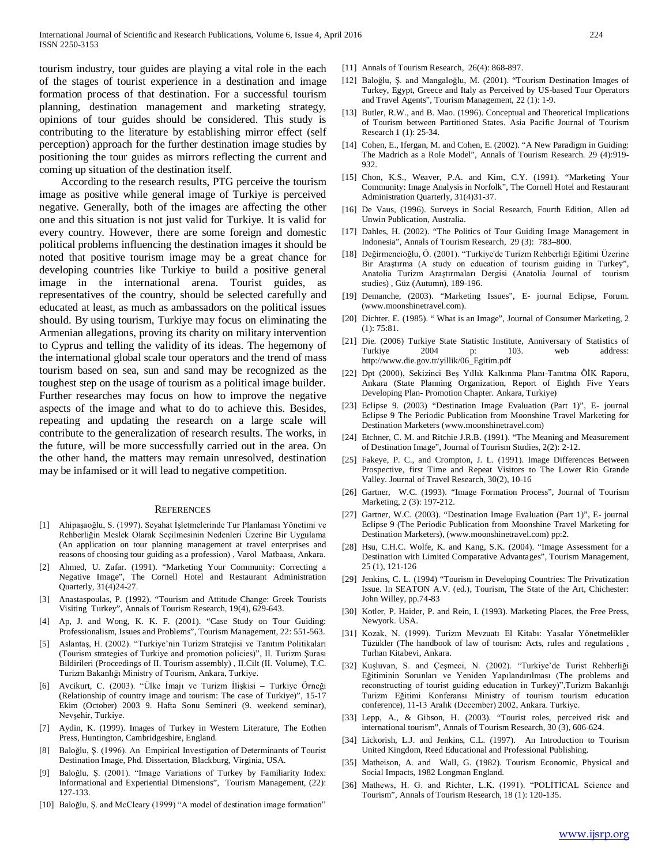tourism industry, tour guides are playing a vital role in the each of the stages of tourist experience in a destination and image formation process of that destination. For a successful tourism planning, destination management and marketing strategy, opinions of tour guides should be considered. This study is contributing to the literature by establishing mirror effect (self perception) approach for the further destination image studies by positioning the tour guides as mirrors reflecting the current and coming up situation of the destination itself.

 According to the research results, PTG perceive the tourism image as positive while general image of Turkiye is perceived negative. Generally, both of the images are affecting the other one and this situation is not just valid for Turkiye. It is valid for every country. However, there are some foreign and domestic political problems influencing the destination images it should be noted that positive tourism image may be a great chance for developing countries like Turkiye to build a positive general image in the international arena. Tourist guides, as representatives of the country, should be selected carefully and educated at least, as much as ambassadors on the political issues should. By using tourism, Turkiye may focus on eliminating the Armenian allegations, proving its charity on military intervention to Cyprus and telling the validity of its ideas. The hegemony of the international global scale tour operators and the trend of mass tourism based on sea, sun and sand may be recognized as the toughest step on the usage of tourism as a political image builder. Further researches may focus on how to improve the negative aspects of the image and what to do to achieve this. Besides, repeating and updating the research on a large scale will contribute to the generalization of research results. The works, in the future, will be more successfully carried out in the area. On the other hand, the matters may remain unresolved, destination may be infamised or it will lead to negative competition.

#### **REFERENCES**

- [1] Ahipaşaoğlu, S. (1997). Seyahat İşletmelerinde Tur Planlaması Yönetimi ve Rehberliğin Meslek Olarak Seçilmesinin Nedenleri Üzerine Bir Uygulama (An application on tour planning management at travel enterprises and reasons of choosing tour guiding as a profession) , Varol Matbaası, Ankara.
- [2] Ahmed, U. Zafar. (1991). "Marketing Your Community: Correcting a Negative Image", The Cornell Hotel and Restaurant Administration Quarterly, 31(4)24-27.
- [3] Anastaspoulas, P. (1992). "Tourism and Attitude Change: Greek Tourists Visiting Turkey", Annals of Tourism Research, 19(4), 629-643.
- [4] Ap, J. and Wong, K. K. F. (2001). "Case Study on Tour Guiding: Professionalism, Issues and Problems", Tourism Management, 22: 551-563.
- [5] Aslantaş, H. (2002). "Turkiye'nin Turizm Stratejisi ve Tanıtım Politikaları (Tourism strategies of Turkiye and promotion policies)", II. Turizm Şurası Bildirileri (Proceedings of II. Tourism assembly) , II.Cilt (II. Volume), T.C. Turizm Bakanlığı Ministry of Tourism, Ankara, Turkiye.
- [6] Avcikurt, C. (2003). "Ülke İmajı ve Turizm İlişkisi Turkiye Örneği (Relationship of country image and tourism: The case of Turkiye)", 15-17 Ekim (October) 2003 9. Hafta Sonu Semineri (9. weekend seminar), Nevşehir, Turkiye.
- [7] Aydin, K. (1999). Images of Turkey in Western Literature, The Eothen Press, Huntington, Cambridgeshire, England.
- [8] Baloğlu, Ş. (1996). An Empirical Investigation of Determinants of Tourist Destination Image, Phd. Dissertation, Blackburg, Virginia, USA.
- [9] Baloğlu, Ş. (2001). "Image Variations of Turkey by Familiarity Index: Informational and Experiential Dimensions", Tourism Management, (22): 127-133.
- [10] Baloğlu, Ş. and McCleary (1999) "A model of destination image formation"
- [11] Annals of Tourism Research, 26(4): 868-897.
- [12] Baloğlu, Ş. and Mangaloğlu, M. (2001). "Tourism Destination Images of Turkey, Egypt, Greece and Italy as Perceived by US-based Tour Operators and Travel Agents", Tourism Management, 22 (1): 1-9.
- [13] Butler, R.W., and B. Mao. (1996). Conceptual and Theoretical Implications of Tourism between Partitioned States. Asia Pacific Journal of Tourism Research 1 (1): 25-34.
- [14] Cohen, E., Ifergan, M. and Cohen, E. (2002). "A New Paradigm in Guiding: The Madrich as a Role Model", Annals of Tourism Research. 29 (4):919- 932.
- [15] Chon, K.S., Weaver, P.A. and Kim, C.Y. (1991). "Marketing Your Community: Image Analysis in Norfolk", The Cornell Hotel and Restaurant Administration Quarterly, 31(4)31-37.
- [16] De Vaus, (1996). Surveys in Social Research, Fourth Edition, Allen ad Unwin Publication, Australia.
- [17] Dahles, H. (2002). "The Politics of Tour Guiding Image Management in Indonesia", Annals of Tourism Research, 29 (3): 783–800.
- [18] Değirmencioğlu, Ö. (2001). "Turkiye'de Turizm Rehberliği Eğitimi Üzerine Bir Araştırma (A study on education of tourism guiding in Turkey", Anatolia Turizm Araştırmaları Dergisi (Anatolia Journal of tourism studies) , Güz (Autumn), 189-196.
- [19] Demanche, (2003). "Marketing Issues", E- journal Eclipse, Forum. (www.moonshinetravel.com).
- [20] Dichter, E. (1985). "What is an Image", Journal of Consumer Marketing, 2 (1): 75:81.
- [21] Die. (2006) Turkiye State Statistic Institute, Anniversary of Statistics of Turkiye 2004 p: 103. web address: http://www.die.gov.tr/yillik/06\_Egitim.pdf
- [22] Dpt (2000), Sekizinci Beş Yıllık Kalkınma Planı-Tanıtma ÖİK Raporu, Ankara (State Planning Organization, Report of Eighth Five Years Developing Plan- Promotion Chapter. Ankara, Turkiye)
- [23] Eclipse 9. (2003) "Destination Image Evaluation (Part 1)", E- journal Eclipse 9 The Periodic Publication from Moonshine Travel Marketing for Destination Marketers (www.moonshinetravel.com)
- [24] Etchner, C. M. and Ritchie J.R.B. (1991). "The Meaning and Measurement of Destination Image", Journal of Tourism Studies, 2(2): 2-12.
- [25] Fakeye, P. C., and Crompton, J. L. (1991). Image Differences Between Prospective, first Time and Repeat Visitors to The Lower Rio Grande Valley. Journal of Travel Research, 30(2), 10-16
- [26] Gartner, W.C. (1993). "Image Formation Process", Journal of Tourism Marketing, 2 (3): 197-212.
- [27] Gartner, W.C. (2003). "Destination Image Evaluation (Part 1)", E- journal Eclipse 9 (The Periodic Publication from Moonshine Travel Marketing for Destination Marketers), (www.moonshinetravel.com) pp:2.
- [28] Hsu, C.H.C. Wolfe, K. and Kang, S.K. (2004). "Image Assessment for a Destination with Limited Comparative Advantages", Tourism Management, 25 (1), 121-126
- [29] Jenkins, C. L. (1994) "Tourism in Developing Countries: The Privatization Issue. In SEATON A.V. (ed.), Tourism, The State of the Art, Chichester: John Willey, pp.74-83
- [30] Kotler, P. Haider, P. and Rein, I. (1993). Marketing Places, the Free Press, Newyork. USA.
- [31] Kozak, N. (1999). Turizm Mevzuatı El Kitabı: Yasalar Yönetmelikler Tüzükler (The handbook of law of tourism: Acts, rules and regulations , Turhan Kitabevi, Ankara.
- [32] Kuşluvan, S. and Çeşmeci, N. (2002). "Turkiye'de Turist Rehberliği Eğitiminin Sorunları ve Yeniden Yapılandırılması (The problems and reconstructing of tourist guiding education in Turkey)",Turizm Bakanlığı Turizm Eğitimi Konferansı Ministry of tourism tourism education conference), 11-13 Aralık (December) 2002, Ankara. Turkiye.
- [33] Lepp, A., & Gibson, H. (2003). "Tourist roles, perceived risk and international tourism", Annals of Tourism Research, 30 (3), 606-624.
- [34] Lickorish, L.J. and Jenkins, C.L. (1997). An Introduction to Tourism United Kingdom, Reed Educational and Professional Publishing.
- [35] Matheison, A. and Wall, G. (1982). Tourism Economic, Physical and Social Impacts, 1982 Longman England.
- [36] Mathews, H. G. and Richter, L.K. (1991). "POLİTİCAL Science and Tourism", Annals of Tourism Research, 18 (1): 120-135.